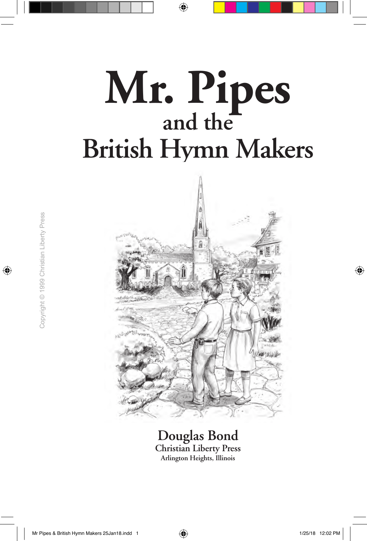# **Mr. Pipes and the British Hymn Makers**



### **Douglas Bond Christian Liberty Press Arlington Heights, Illinois**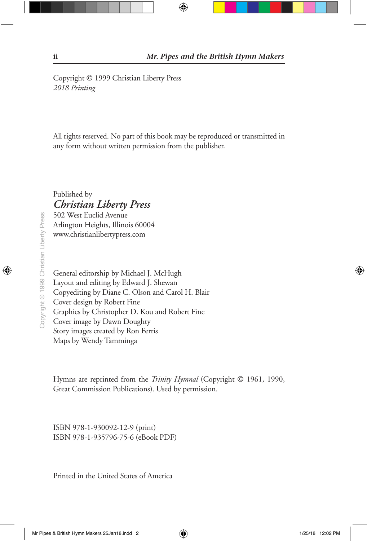Copyright © 1999 Christian Liberty Press *2018 Printing*

All rights reserved. No part of this book may be reproduced or transmitted in any form without written permission from the publisher.

Published by *Christian Liberty Press* 502 West Euclid Avenue

Arlington Heights, Illinois 60004 www.christianlibertypress.com

General editorship by Michael J. McHugh Layout and editing by Edward J. Shewan Copyediting by Diane C. Olson and Carol H. Blair Cover design by Robert Fine Graphics by Christopher D. Kou and Robert Fine Cover image by Dawn Doughty Story images created by Ron Ferris Maps by Wendy Tamminga

Hymns are reprinted from the *Trinity Hymnal* (Copyright © 1961, 1990, Great Commission Publications). Used by permission.

ISBN 978-1-930092-12-9 (print) ISBN 978-1-935796-75-6 (eBook PDF)

Printed in the United States of America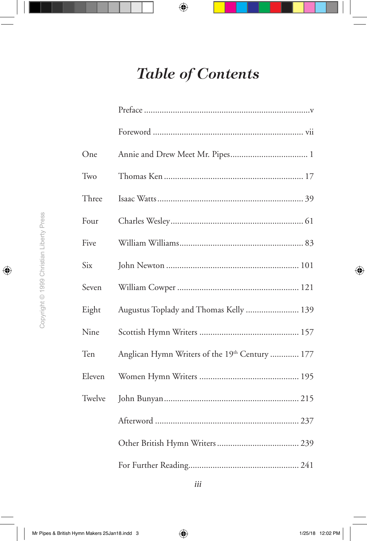## *Table of Contents*

| Augustus Toplady and Thomas Kelly  139         |
|------------------------------------------------|
|                                                |
| Anglican Hymn Writers of the 19th Century  177 |
|                                                |
|                                                |
|                                                |
|                                                |
|                                                |
|                                                |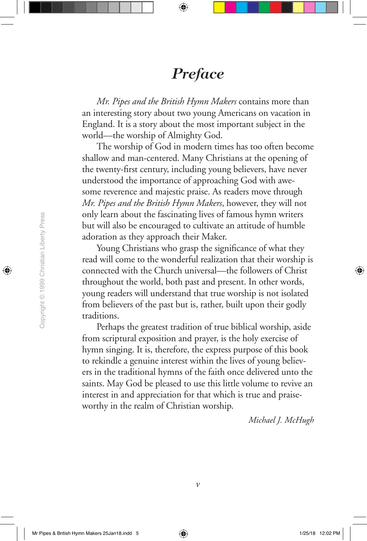## *Preface*

*Mr. Pipes and the British Hymn Makers* contains more than an interesting story about two young Americans on vacation in England. It is a story about the most important subject in the world—the worship of Almighty God.

The worship of God in modern times has too often become shallow and man-centered. Many Christians at the opening of the twenty-first century, including young believers, have never understood the importance of approaching God with awesome reverence and majestic praise. As readers move through *Mr. Pipes and the British Hymn Makers*, however, they will not only learn about the fascinating lives of famous hymn writers but will also be encouraged to cultivate an attitude of humble adoration as they approach their Maker.

Young Christians who grasp the significance of what they read will come to the wonderful realization that their worship is connected with the Church universal—the followers of Christ throughout the world, both past and present. In other words, young readers will understand that true worship is not isolated from believers of the past but is, rather, built upon their godly traditions.

Perhaps the greatest tradition of true biblical worship, aside from scriptural exposition and prayer, is the holy exercise of hymn singing. It is, therefore, the express purpose of this book to rekindle a genuine interest within the lives of young believers in the traditional hymns of the faith once delivered unto the saints. May God be pleased to use this little volume to revive an interest in and appreciation for that which is true and praiseworthy in the realm of Christian worship.

*Michael J. McHugh*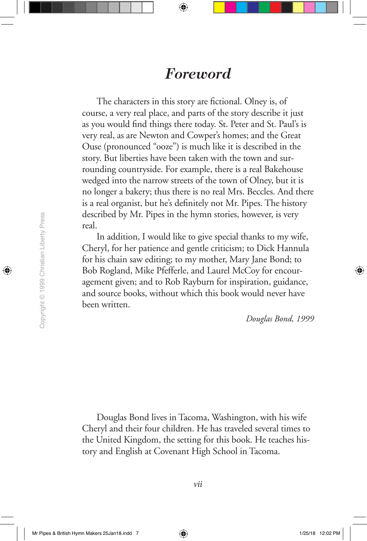## *Foreword*

The characters in this story are fictional. Olney is, of course, a very real place, and parts of the story describe it just as you would find things there today. St. Peter and St. Paul's is very real, as are Newton and Cowper's homes; and the Great Ouse (pronounced "ooze") is much like it is described in the story. But liberties have been taken with the town and surrounding countryside. For example, there is a real Bakehouse wedged into the narrow streets of the town of Olney, but it is no longer a bakery; thus there is no real Mrs. Beccles. And there is a real organist, but he's definitely not Mr. Pipes. The history described by Mr. Pipes in the hymn stories, however, is very real.

In addition, I would like to give special thanks to my wife, Cheryl, for her patience and gentle criticism; to Dick Hannula for his chain saw editing; to my mother, Mary Jane Bond; to Bob Rogland, Mike Pfefferle, and Laurel McCoy for encouragement given; and to Rob Rayburn for inspiration, guidance, and source books, without which this book would never have been written.

*Douglas Bond, 1999*

Douglas Bond lives in Tacoma, Washington, with his wife Cheryl and their four children. He has traveled several times to the United Kingdom, the setting for this book. He teaches history and English at Covenant High School in Tacoma.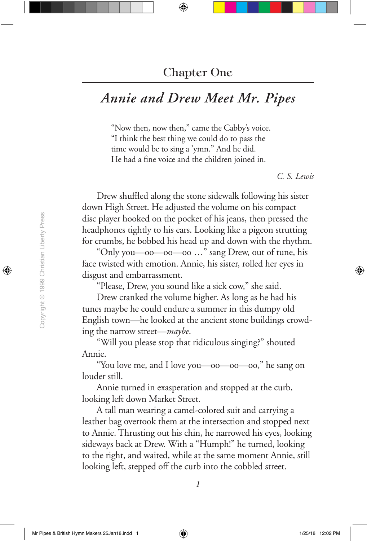## *Annie and Drew Meet Mr. Pipes*

"Now then, now then," came the Cabby's voice. "I think the best thing we could do to pass the time would be to sing a 'ymn." And he did. He had a fine voice and the children joined in.

*C. S. Lewis*

Drew shuffled along the stone sidewalk following his sister down High Street. He adjusted the volume on his compact disc player hooked on the pocket of his jeans, then pressed the headphones tightly to his ears. Looking like a pigeon strutting for crumbs, he bobbed his head up and down with the rhythm.

"Only you—oo—oo—oo …" sang Drew, out of tune, his face twisted with emotion. Annie, his sister, rolled her eyes in disgust and embarrassment.

"Please, Drew, you sound like a sick cow," she said.

Drew cranked the volume higher. As long as he had his tunes maybe he could endure a summer in this dumpy old English town—he looked at the ancient stone buildings crowding the narrow street—*maybe*.

"Will you please stop that ridiculous singing?" shouted Annie.

"You love me, and I love you—oo—oo—oo," he sang on louder still.

Annie turned in exasperation and stopped at the curb, looking left down Market Street.

A tall man wearing a camel-colored suit and carrying a leather bag overtook them at the intersection and stopped next to Annie. Thrusting out his chin, he narrowed his eyes, looking sideways back at Drew. With a "Humph!" he turned, looking to the right, and waited, while at the same moment Annie, still looking left, stepped off the curb into the cobbled street.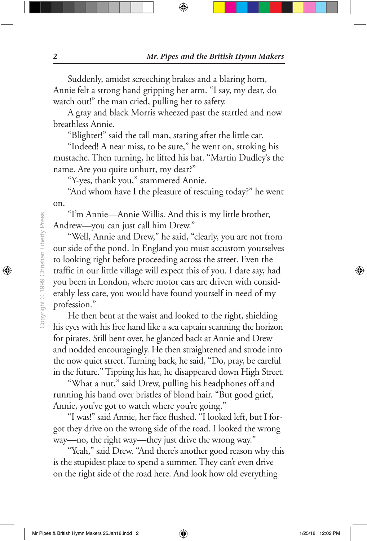Suddenly, amidst screeching brakes and a blaring horn, Annie felt a strong hand gripping her arm. "I say, my dear, do watch out!" the man cried, pulling her to safety.

A gray and black Morris wheezed past the startled and now breathless Annie.

"Blighter!" said the tall man, staring after the little car.

"Indeed! A near miss, to be sure," he went on, stroking his mustache. Then turning, he lifted his hat. "Martin Dudley's the name. Are you quite unhurt, my dear?"

"Y-yes, thank you," stammered Annie.

"And whom have I the pleasure of rescuing today?" he went on.

"I'm Annie—Annie Willis. And this is my little brother, Andrew—you can just call him Drew."

"Well, Annie and Drew," he said, "clearly, you are not from our side of the pond. In England you must accustom yourselves to looking right before proceeding across the street. Even the traffic in our little village will expect this of you. I dare say, had you been in London, where motor cars are driven with considerably less care, you would have found yourself in need of my profession."

He then bent at the waist and looked to the right, shielding his eyes with his free hand like a sea captain scanning the horizon for pirates. Still bent over, he glanced back at Annie and Drew and nodded encouragingly. He then straightened and strode into the now quiet street. Turning back, he said, "Do, pray, be careful in the future." Tipping his hat, he disappeared down High Street.

"What a nut," said Drew, pulling his headphones off and running his hand over bristles of blond hair. "But good grief, Annie, you've got to watch where you're going."

"I was!" said Annie, her face flushed. "I looked left, but I forgot they drive on the wrong side of the road. I looked the wrong way—no, the right way—they just drive the wrong way."

"Yeah," said Drew. "And there's another good reason why this is the stupidest place to spend a summer. They can't even drive on the right side of the road here. And look how old everything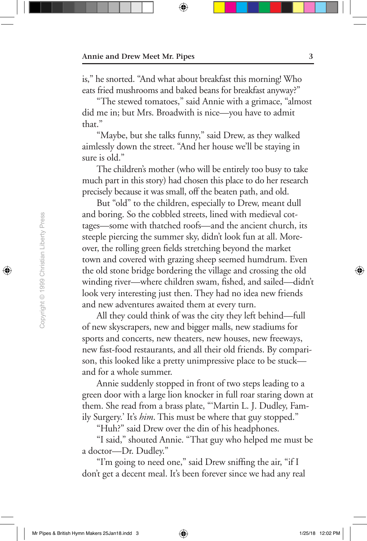is," he snorted. "And what about breakfast this morning! Who eats fried mushrooms and baked beans for breakfast anyway?"

"The stewed tomatoes," said Annie with a grimace, "almost did me in; but Mrs. Broadwith is nice—you have to admit that."

"Maybe, but she talks funny," said Drew, as they walked aimlessly down the street. "And her house we'll be staying in sure is old."

The children's mother (who will be entirely too busy to take much part in this story) had chosen this place to do her research precisely because it was small, off the beaten path, and old.

But "old" to the children, especially to Drew, meant dull and boring. So the cobbled streets, lined with medieval cottages—some with thatched roofs—and the ancient church, its steeple piercing the summer sky, didn't look fun at all. Moreover, the rolling green fields stretching beyond the market town and covered with grazing sheep seemed humdrum. Even the old stone bridge bordering the village and crossing the old winding river—where children swam, fished, and sailed—didn't look very interesting just then. They had no idea new friends and new adventures awaited them at every turn.

All they could think of was the city they left behind—full of new skyscrapers, new and bigger malls, new stadiums for sports and concerts, new theaters, new houses, new freeways, new fast-food restaurants, and all their old friends. By comparison, this looked like a pretty unimpressive place to be stuck and for a whole summer.

Annie suddenly stopped in front of two steps leading to a green door with a large lion knocker in full roar staring down at them. She read from a brass plate, "'Martin L. J. Dudley, Family Surgery.' It's *him*. This must be where that guy stopped."

"Huh?" said Drew over the din of his headphones.

"I said," shouted Annie. "That guy who helped me must be a doctor—Dr. Dudley."

"I'm going to need one," said Drew sniffing the air, "if I don't get a decent meal. It's been forever since we had any real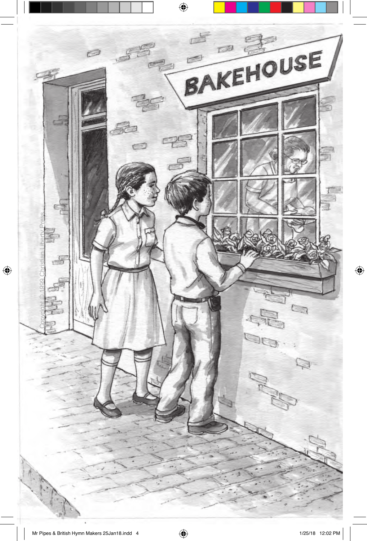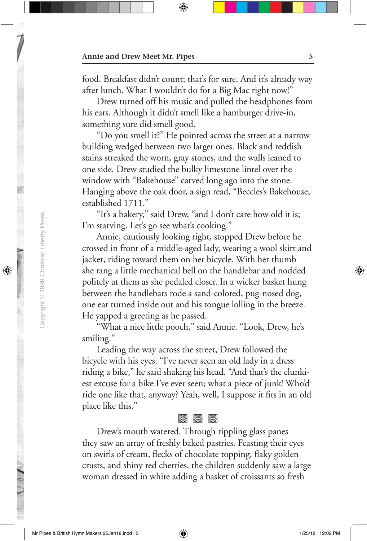food. Breakfast didn't count; that's for sure. And it's already way after lunch. What I wouldn't do for a Big Mac right now!"

Drew turned off his music and pulled the headphones from his ears. Although it didn't smell like a hamburger drive-in, something sure did smell good.

"Do you smell it?" He pointed across the street at a narrow building wedged between two larger ones. Black and reddish stains streaked the worn, gray stones, and the walls leaned to one side. Drew studied the bulky limestone lintel over the window with "Bakehouse" carved long ago into the stone. Hanging above the oak door, a sign read, "Beccles's Bakehouse, established 1711."

"It's a bakery," said Drew, "and I don't care how old it is; I'm starving. Let's go see what's cooking."

Annie, cautiously looking right, stopped Drew before he crossed in front of a middle-aged lady, wearing a wool skirt and jacket, riding toward them on her bicycle. With her thumb she rang a little mechanical bell on the handlebar and nodded politely at them as she pedaled closer. In a wicker basket hung between the handlebars rode a sand-colored, pug-nosed dog, one ear turned inside out and his tongue lolling in the breeze. He yapped a greeting as he passed.

"What a nice little pooch," said Annie. "Look, Drew, he's smiling."

Leading the way across the street, Drew followed the bicycle with his eyes. "I've never seen an old lady in a dress riding a bike," he said shaking his head. "And that's the clunkiest excuse for a bike I've ever seen; what a piece of junk! Who'd ride one like that, anyway? Yeah, well, I suppose it fits in an old place like this."

#### 图 图 图

Drew's mouth watered. Through rippling glass panes they saw an array of freshly baked pastries. Feasting their eyes on swirls of cream, flecks of chocolate topping, flaky golden crusts, and shiny red cherries, the children suddenly saw a large woman dressed in white adding a basket of croissants so fresh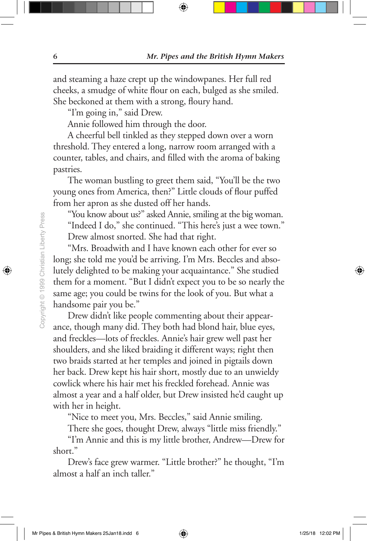and steaming a haze crept up the windowpanes. Her full red cheeks, a smudge of white flour on each, bulged as she smiled. She beckoned at them with a strong, floury hand.

"I'm going in," said Drew.

Annie followed him through the door.

A cheerful bell tinkled as they stepped down over a worn threshold. They entered a long, narrow room arranged with a counter, tables, and chairs, and filled with the aroma of baking pastries.

The woman bustling to greet them said, "You'll be the two young ones from America, then?" Little clouds of flour puffed from her apron as she dusted off her hands.

"You know about us?" asked Annie, smiling at the big woman. "Indeed I do," she continued. "This here's just a wee town." Drew almost snorted. She had that right.

"Mrs. Broadwith and I have known each other for ever so long; she told me you'd be arriving. I'm Mrs. Beccles and absolutely delighted to be making your acquaintance." She studied them for a moment. "But I didn't expect you to be so nearly the same age; you could be twins for the look of you. But what a handsome pair you be."

Drew didn't like people commenting about their appearance, though many did. They both had blond hair, blue eyes, and freckles—lots of freckles. Annie's hair grew well past her shoulders, and she liked braiding it different ways; right then two braids started at her temples and joined in pigtails down her back. Drew kept his hair short, mostly due to an unwieldy cowlick where his hair met his freckled forehead. Annie was almost a year and a half older, but Drew insisted he'd caught up with her in height.

"Nice to meet you, Mrs. Beccles," said Annie smiling.

There she goes, thought Drew, always "little miss friendly."

"I'm Annie and this is my little brother, Andrew—Drew for short."

Drew's face grew warmer. "Little brother?" he thought, "I'm almost a half an inch taller."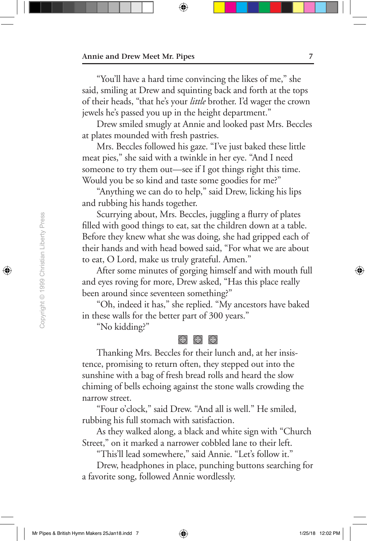"You'll have a hard time convincing the likes of me," she said, smiling at Drew and squinting back and forth at the tops of their heads, "that he's your *little* brother. I'd wager the crown jewels he's passed you up in the height department."

Drew smiled smugly at Annie and looked past Mrs. Beccles at plates mounded with fresh pastries.

Mrs. Beccles followed his gaze. "I've just baked these little meat pies," she said with a twinkle in her eye. "And I need someone to try them out—see if I got things right this time. Would you be so kind and taste some goodies for me?"

"Anything we can do to help," said Drew, licking his lips and rubbing his hands together.

Scurrying about, Mrs. Beccles, juggling a flurry of plates filled with good things to eat, sat the children down at a table. Before they knew what she was doing, she had gripped each of their hands and with head bowed said, "For what we are about to eat, O Lord, make us truly grateful. Amen."

After some minutes of gorging himself and with mouth full and eyes roving for more, Drew asked, "Has this place really been around since seventeen something?"

"Oh, indeed it has," she replied. "My ancestors have baked in these walls for the better part of 300 years."

"No kidding?"

#### ◎ ⊗ ⊗

Thanking Mrs. Beccles for their lunch and, at her insistence, promising to return often, they stepped out into the sunshine with a bag of fresh bread rolls and heard the slow chiming of bells echoing against the stone walls crowding the narrow street.

"Four o'clock," said Drew. "And all is well." He smiled, rubbing his full stomach with satisfaction.

As they walked along, a black and white sign with "Church Street," on it marked a narrower cobbled lane to their left.

"This'll lead somewhere," said Annie. "Let's follow it."

Drew, headphones in place, punching buttons searching for a favorite song, followed Annie wordlessly.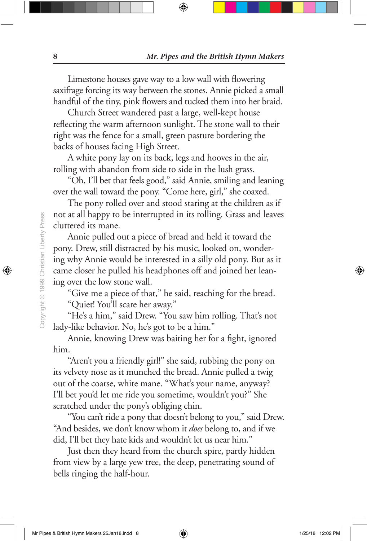Limestone houses gave way to a low wall with flowering saxifrage forcing its way between the stones. Annie picked a small handful of the tiny, pink flowers and tucked them into her braid.

Church Street wandered past a large, well-kept house reflecting the warm afternoon sunlight. The stone wall to their right was the fence for a small, green pasture bordering the backs of houses facing High Street.

A white pony lay on its back, legs and hooves in the air, rolling with abandon from side to side in the lush grass.

"Oh, I'll bet that feels good," said Annie, smiling and leaning over the wall toward the pony. "Come here, girl," she coaxed.

The pony rolled over and stood staring at the children as if not at all happy to be interrupted in its rolling. Grass and leaves cluttered its mane.

Annie pulled out a piece of bread and held it toward the pony. Drew, still distracted by his music, looked on, wondering why Annie would be interested in a silly old pony. But as it came closer he pulled his headphones off and joined her leaning over the low stone wall.

"Give me a piece of that," he said, reaching for the bread. "Quiet! You'll scare her away."

"He's a him," said Drew. "You saw him rolling. That's not lady-like behavior. No, he's got to be a him."

Annie, knowing Drew was baiting her for a fight, ignored him.

"Aren't you a friendly girl!" she said, rubbing the pony on its velvety nose as it munched the bread. Annie pulled a twig out of the coarse, white mane. "What's your name, anyway? I'll bet you'd let me ride you sometime, wouldn't you?" She scratched under the pony's obliging chin.

"You can't ride a pony that doesn't belong to you," said Drew. "And besides, we don't know whom it *does* belong to, and if we did, I'll bet they hate kids and wouldn't let us near him."

Just then they heard from the church spire, partly hidden from view by a large yew tree, the deep, penetrating sound of bells ringing the half-hour.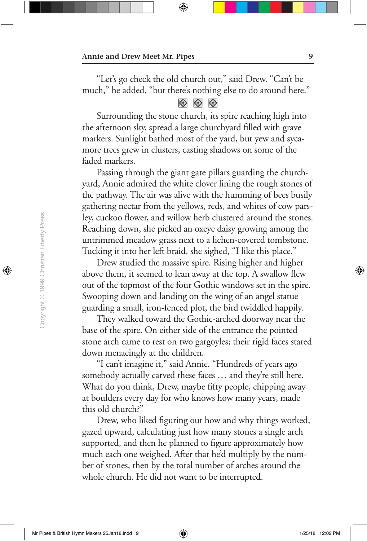"Let's go check the old church out," said Drew. "Can't be much," he added, "but there's nothing else to do around here."

## 图 图 图

Surrounding the stone church, its spire reaching high into the afternoon sky, spread a large churchyard filled with grave markers. Sunlight bathed most of the yard, but yew and sycamore trees grew in clusters, casting shadows on some of the faded markers.

Passing through the giant gate pillars guarding the churchyard, Annie admired the white clover lining the rough stones of the pathway. The air was alive with the humming of bees busily gathering nectar from the yellows, reds, and whites of cow parsley, cuckoo flower, and willow herb clustered around the stones. Reaching down, she picked an oxeye daisy growing among the untrimmed meadow grass next to a lichen-covered tombstone. Tucking it into her left braid, she sighed, "I like this place."

Drew studied the massive spire. Rising higher and higher above them, it seemed to lean away at the top. A swallow flew out of the topmost of the four Gothic windows set in the spire. Swooping down and landing on the wing of an angel statue guarding a small, iron-fenced plot, the bird twiddled happily.

They walked toward the Gothic-arched doorway near the base of the spire. On either side of the entrance the pointed stone arch came to rest on two gargoyles; their rigid faces stared down menacingly at the children.

"I can't imagine it," said Annie. "Hundreds of years ago somebody actually carved these faces ... and they're still here. What do you think, Drew, maybe fifty people, chipping away at boulders every day for who knows how many years, made this old church?"

Drew, who liked figuring out how and why things worked, gazed upward, calculating just how many stones a single arch supported, and then he planned to figure approximately how much each one weighed. After that he'd multiply by the number of stones, then by the total number of arches around the whole church. He did not want to be interrupted.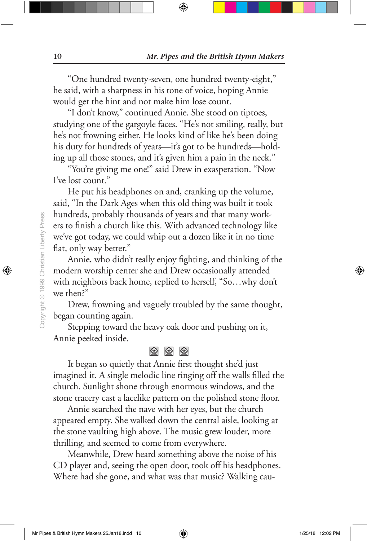"One hundred twenty-seven, one hundred twenty-eight," he said, with a sharpness in his tone of voice, hoping Annie would get the hint and not make him lose count.

"I don't know," continued Annie. She stood on tiptoes, studying one of the gargoyle faces. "He's not smiling, really, but he's not frowning either. He looks kind of like he's been doing his duty for hundreds of years—it's got to be hundreds—holding up all those stones, and it's given him a pain in the neck."

"You're giving me one!" said Drew in exasperation. "Now I've lost count."

He put his headphones on and, cranking up the volume, said, "In the Dark Ages when this old thing was built it took hundreds, probably thousands of years and that many workers to finish a church like this. With advanced technology like we've got today, we could whip out a dozen like it in no time flat, only way better."

Annie, who didn't really enjoy fighting, and thinking of the modern worship center she and Drew occasionally attended with neighbors back home, replied to herself, "So…why don't we then?"

Drew, frowning and vaguely troubled by the same thought, began counting again.

Stepping toward the heavy oak door and pushing on it, Annie peeked inside.

#### 图 图 图

It began so quietly that Annie first thought she'd just imagined it. A single melodic line ringing off the walls filled the church. Sunlight shone through enormous windows, and the stone tracery cast a lacelike pattern on the polished stone floor.

Annie searched the nave with her eyes, but the church appeared empty. She walked down the central aisle, looking at the stone vaulting high above. The music grew louder, more thrilling, and seemed to come from everywhere.

Meanwhile, Drew heard something above the noise of his CD player and, seeing the open door, took off his headphones. Where had she gone, and what was that music? Walking cau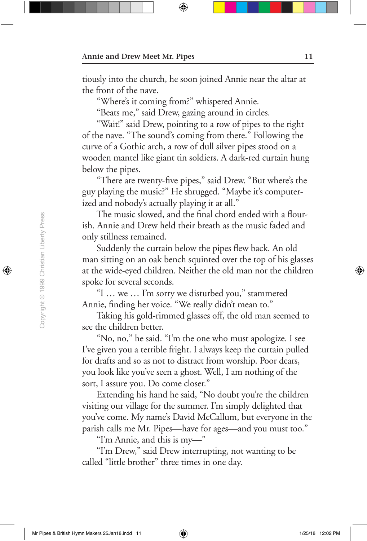tiously into the church, he soon joined Annie near the altar at the front of the nave.

"Where's it coming from?" whispered Annie.

"Beats me," said Drew, gazing around in circles.

"Wait!" said Drew, pointing to a row of pipes to the right of the nave. "The sound's coming from there." Following the curve of a Gothic arch, a row of dull silver pipes stood on a wooden mantel like giant tin soldiers. A dark-red curtain hung below the pipes.

"There are twenty-five pipes," said Drew. "But where's the guy playing the music?" He shrugged. "Maybe it's computerized and nobody's actually playing it at all."

The music slowed, and the final chord ended with a flourish. Annie and Drew held their breath as the music faded and only stillness remained.

Suddenly the curtain below the pipes flew back. An old man sitting on an oak bench squinted over the top of his glasses at the wide-eyed children. Neither the old man nor the children spoke for several seconds.

"I … we … I'm sorry we disturbed you," stammered Annie, finding her voice. "We really didn't mean to."

Taking his gold-rimmed glasses off, the old man seemed to see the children better.

"No, no," he said. "I'm the one who must apologize. I see I've given you a terrible fright. I always keep the curtain pulled for drafts and so as not to distract from worship. Poor dears, you look like you've seen a ghost. Well, I am nothing of the sort, I assure you. Do come closer."

Extending his hand he said, "No doubt you're the children visiting our village for the summer. I'm simply delighted that you've come. My name's David McCallum, but everyone in the parish calls me Mr. Pipes—have for ages—and you must too."

"I'm Annie, and this is my—"

"I'm Drew," said Drew interrupting, not wanting to be called "little brother" three times in one day.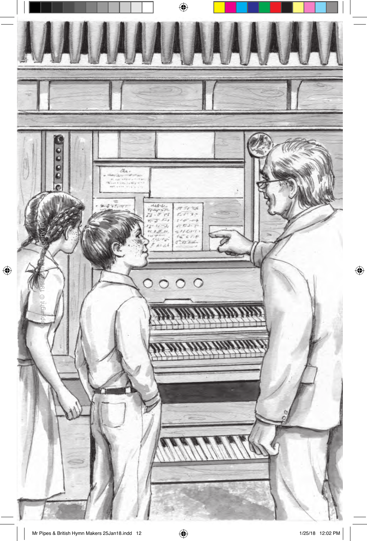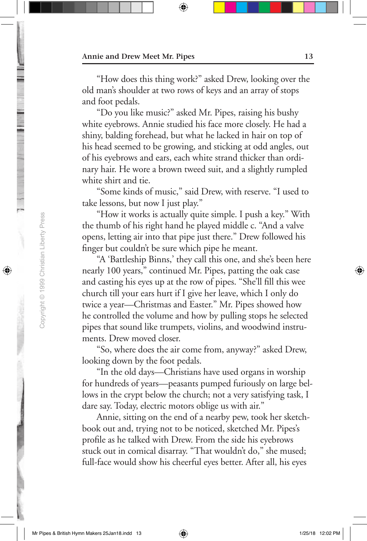"How does this thing work?" asked Drew, looking over the old man's shoulder at two rows of keys and an array of stops and foot pedals.

"Do you like music?" asked Mr. Pipes, raising his bushy white eyebrows. Annie studied his face more closely. He had a shiny, balding forehead, but what he lacked in hair on top of his head seemed to be growing, and sticking at odd angles, out of his eyebrows and ears, each white strand thicker than ordinary hair. He wore a brown tweed suit, and a slightly rumpled white shirt and tie.

"Some kinds of music," said Drew, with reserve. "I used to take lessons, but now I just play."

"How it works is actually quite simple. I push a key." With the thumb of his right hand he played middle c. "And a valve opens, letting air into that pipe just there." Drew followed his finger but couldn't be sure which pipe he meant.

"A 'Battleship Binns,' they call this one, and she's been here nearly 100 years," continued Mr. Pipes, patting the oak case and casting his eyes up at the row of pipes. "She'll fill this wee church till your ears hurt if I give her leave, which I only do twice a year—Christmas and Easter." Mr. Pipes showed how he controlled the volume and how by pulling stops he selected pipes that sound like trumpets, violins, and woodwind instruments. Drew moved closer.

"So, where does the air come from, anyway?" asked Drew, looking down by the foot pedals.

"In the old days—Christians have used organs in worship for hundreds of years—peasants pumped furiously on large bellows in the crypt below the church; not a very satisfying task, I dare say. Today, electric motors oblige us with air."

Annie, sitting on the end of a nearby pew, took her sketchbook out and, trying not to be noticed, sketched Mr. Pipes's profile as he talked with Drew. From the side his eyebrows stuck out in comical disarray. "That wouldn't do," she mused; full-face would show his cheerful eyes better. After all, his eyes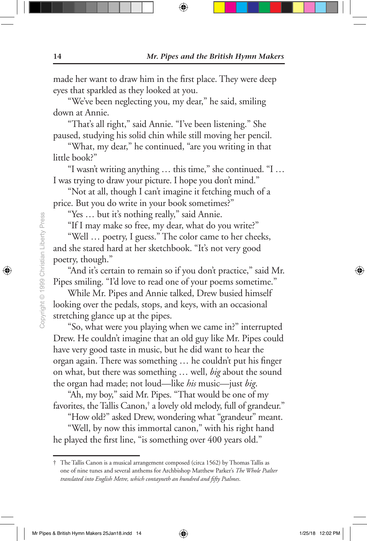made her want to draw him in the first place. They were deep eyes that sparkled as they looked at you.

"We've been neglecting you, my dear," he said, smiling down at Annie.

"That's all right," said Annie. "I've been listening." She paused, studying his solid chin while still moving her pencil.

"What, my dear," he continued, "are you writing in that little book?"

"I wasn't writing anything … this time," she continued. "I … I was trying to draw your picture. I hope you don't mind."

"Not at all, though I can't imagine it fetching much of a price. But you do write in your book sometimes?"

"Yes … but it's nothing really," said Annie.

"If I may make so free, my dear, what do you write?"

"Well … poetry, I guess." The color came to her cheeks, and she stared hard at her sketchbook. "It's not very good poetry, though."

"And it's certain to remain so if you don't practice," said Mr. Pipes smiling. "I'd love to read one of your poems sometime."

While Mr. Pipes and Annie talked, Drew busied himself looking over the pedals, stops, and keys, with an occasional stretching glance up at the pipes.

"So, what were you playing when we came in?" interrupted Drew. He couldn't imagine that an old guy like Mr. Pipes could have very good taste in music, but he did want to hear the organ again. There was something … he couldn't put his finger on what, but there was something … well, *big* about the sound the organ had made; not loud—like *his* music—just *big*.

"Ah, my boy," said Mr. Pipes. "That would be one of my favorites, the Tallis Canon,† a lovely old melody, full of grandeur."

"How old?" asked Drew, wondering what "grandeur" meant. "Well, by now this immortal canon," with his right hand

he played the first line, "is something over 400 years old."

<sup>†</sup> The Tallis Canon is a musical arrangement composed (circa 1562) by Thomas Tallis as one of nine tunes and several anthems for Archbishop Matthew Parker's *The Whole Psalter translated into English Metre, which contayneth an hundred and fifty Psalmes*.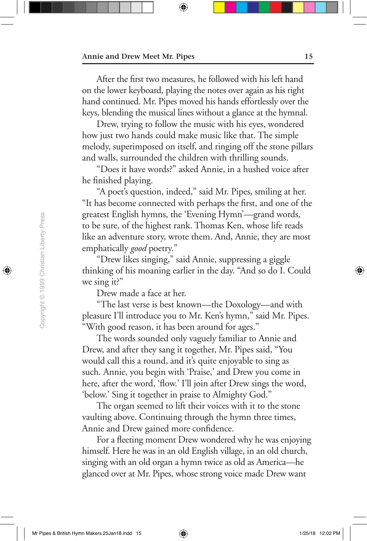After the first two measures, he followed with his left hand on the lower keyboard, playing the notes over again as his right hand continued. Mr. Pipes moved his hands effortlessly over the keys, blending the musical lines without a glance at the hymnal.

Drew, trying to follow the music with his eyes, wondered how just two hands could make music like that. The simple melody, superimposed on itself, and ringing off the stone pillars and walls, surrounded the children with thrilling sounds.

"Does it have words?" asked Annie, in a hushed voice after he finished playing.

"A poet's question, indeed," said Mr. Pipes, smiling at her. "It has become connected with perhaps the first, and one of the greatest English hymns, the 'Evening Hymn'—grand words, to be sure, of the highest rank. Thomas Ken, whose life reads like an adventure story, wrote them. And, Annie, they are most emphatically *good* poetry."

"Drew likes singing," said Annie, suppressing a giggle thinking of his moaning earlier in the day. "And so do I. Could we sing it?"

Drew made a face at her.

"The last verse is best known—the Doxology—and with pleasure I'll introduce you to Mr. Ken's hymn," said Mr. Pipes. "With good reason, it has been around for ages."

The words sounded only vaguely familiar to Annie and Drew, and after they sang it together, Mr. Pipes said, "You would call this a round, and it's quite enjoyable to sing as such. Annie, you begin with 'Praise,' and Drew you come in here, after the word, 'flow.' I'll join after Drew sings the word, 'below.' Sing it together in praise to Almighty God."

The organ seemed to lift their voices with it to the stone vaulting above. Continuing through the hymn three times, Annie and Drew gained more confidence.

For a fleeting moment Drew wondered why he was enjoying himself. Here he was in an old English village, in an old church, singing with an old organ a hymn twice as old as America—he glanced over at Mr. Pipes, whose strong voice made Drew want